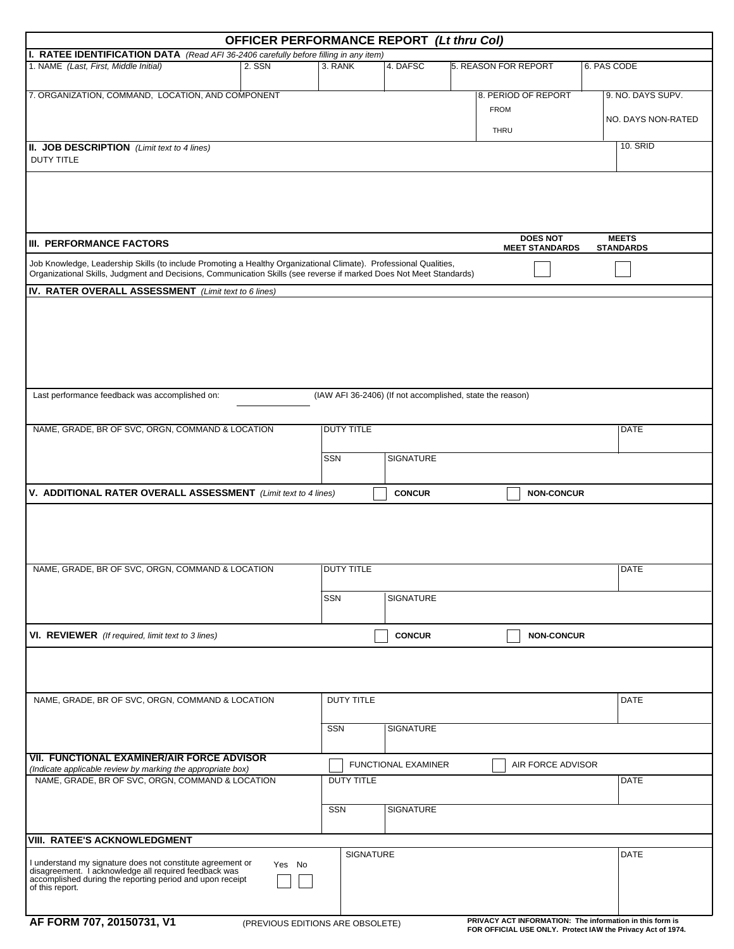|                                                                                                                                                                                                                                          | <b>OFFICER PERFORMANCE REPORT (Lt thru Col)</b> |                                  |                     |                                                           |                                                 |  |
|------------------------------------------------------------------------------------------------------------------------------------------------------------------------------------------------------------------------------------------|-------------------------------------------------|----------------------------------|---------------------|-----------------------------------------------------------|-------------------------------------------------|--|
| I. RATEE IDENTIFICATION DATA (Read AFI 36-2406 carefully before filling in any item)                                                                                                                                                     |                                                 |                                  |                     |                                                           |                                                 |  |
| 1. NAME (Last, First, Middle Initial)                                                                                                                                                                                                    | 2. SSN                                          | 3. RANK<br>$\blacktriangleright$ | 4. DAFSC            | 5. REASON FOR REPORT<br>$\overline{\phantom{a}}$          | 6. PAS CODE                                     |  |
| 7. ORGANIZATION, COMMAND, LOCATION, AND COMPONENT                                                                                                                                                                                        |                                                 |                                  |                     | 8. PERIOD OF REPORT                                       | 9. NO. DAYS SUPV.                               |  |
|                                                                                                                                                                                                                                          |                                                 |                                  |                     | <b>FROM</b>                                               |                                                 |  |
|                                                                                                                                                                                                                                          |                                                 |                                  |                     | <b>THRU</b>                                               | NO. DAYS NON-RATED                              |  |
| <b>II. JOB DESCRIPTION</b> (Limit text to 4 lines)                                                                                                                                                                                       |                                                 |                                  |                     |                                                           | <b>10. SRID</b>                                 |  |
| <b>DUTY TITLE</b>                                                                                                                                                                                                                        |                                                 |                                  |                     |                                                           |                                                 |  |
|                                                                                                                                                                                                                                          |                                                 |                                  |                     |                                                           |                                                 |  |
|                                                                                                                                                                                                                                          |                                                 |                                  |                     |                                                           |                                                 |  |
|                                                                                                                                                                                                                                          |                                                 |                                  |                     |                                                           |                                                 |  |
|                                                                                                                                                                                                                                          |                                                 |                                  |                     |                                                           |                                                 |  |
| III. PERFORMANCE FACTORS                                                                                                                                                                                                                 |                                                 |                                  |                     | <b>DOES NOT</b><br><b>MEET STANDARDS</b>                  | <b>MEETS</b><br><b>STANDARDS</b>                |  |
|                                                                                                                                                                                                                                          |                                                 |                                  |                     |                                                           |                                                 |  |
| Job Knowledge, Leadership Skills (to include Promoting a Healthy Organizational Climate). Professional Qualities,<br>Organizational Skills, Judgment and Decisions, Communication Skills (see reverse if marked Does Not Meet Standards) |                                                 |                                  |                     |                                                           |                                                 |  |
| IV. RATER OVERALL ASSESSMENT (Limit text to 6 lines)                                                                                                                                                                                     |                                                 |                                  |                     |                                                           |                                                 |  |
|                                                                                                                                                                                                                                          |                                                 |                                  |                     |                                                           |                                                 |  |
|                                                                                                                                                                                                                                          |                                                 |                                  |                     |                                                           |                                                 |  |
|                                                                                                                                                                                                                                          |                                                 |                                  |                     |                                                           |                                                 |  |
|                                                                                                                                                                                                                                          |                                                 |                                  |                     |                                                           |                                                 |  |
|                                                                                                                                                                                                                                          |                                                 |                                  |                     |                                                           |                                                 |  |
| Last performance feedback was accomplished on:                                                                                                                                                                                           |                                                 |                                  |                     | (IAW AFI 36-2406) (If not accomplished, state the reason) |                                                 |  |
|                                                                                                                                                                                                                                          |                                                 |                                  |                     |                                                           |                                                 |  |
| NAME, GRADE, BR OF SVC, ORGN, COMMAND & LOCATION                                                                                                                                                                                         | <b>DUTY TITLE</b><br><b>DATE</b>                |                                  |                     |                                                           |                                                 |  |
|                                                                                                                                                                                                                                          |                                                 |                                  |                     |                                                           |                                                 |  |
|                                                                                                                                                                                                                                          |                                                 | <b>SSN</b>                       | <b>SIGNATURE</b>    |                                                           |                                                 |  |
|                                                                                                                                                                                                                                          |                                                 |                                  |                     |                                                           |                                                 |  |
| V. ADDITIONAL RATER OVERALL ASSESSMENT (Limit text to 4 lines)                                                                                                                                                                           |                                                 |                                  | <b>CONCUR</b>       | <b>NON-CONCUR</b>                                         |                                                 |  |
|                                                                                                                                                                                                                                          |                                                 |                                  |                     |                                                           |                                                 |  |
|                                                                                                                                                                                                                                          |                                                 |                                  |                     |                                                           |                                                 |  |
|                                                                                                                                                                                                                                          |                                                 |                                  |                     |                                                           |                                                 |  |
|                                                                                                                                                                                                                                          |                                                 |                                  |                     |                                                           |                                                 |  |
| NAME, GRADE, BR OF SVC, ORGN, COMMAND & LOCATION                                                                                                                                                                                         |                                                 | DUTY TITLE                       |                     |                                                           | DATE                                            |  |
|                                                                                                                                                                                                                                          |                                                 | SSN                              | <b>SIGNATURE</b>    |                                                           |                                                 |  |
|                                                                                                                                                                                                                                          |                                                 |                                  |                     |                                                           |                                                 |  |
|                                                                                                                                                                                                                                          |                                                 |                                  | <b>CONCUR</b>       | <b>NON-CONCUR</b>                                         |                                                 |  |
| <b>VI. REVIEWER</b> (If required, limit text to 3 lines)                                                                                                                                                                                 |                                                 |                                  |                     |                                                           |                                                 |  |
|                                                                                                                                                                                                                                          |                                                 |                                  |                     |                                                           |                                                 |  |
|                                                                                                                                                                                                                                          |                                                 |                                  |                     |                                                           |                                                 |  |
| NAME, GRADE, BR OF SVC, ORGN, COMMAND & LOCATION                                                                                                                                                                                         |                                                 | <b>DUTY TITLE</b>                |                     |                                                           | <b>DATE</b>                                     |  |
|                                                                                                                                                                                                                                          |                                                 |                                  |                     |                                                           |                                                 |  |
|                                                                                                                                                                                                                                          |                                                 | <b>SSN</b>                       | SIGNATURE           |                                                           |                                                 |  |
|                                                                                                                                                                                                                                          |                                                 |                                  |                     |                                                           |                                                 |  |
| <b>VII. FUNCTIONAL EXAMINER/AIR FORCE ADVISOR</b><br>(Indicate applicable review by marking the appropriate box)                                                                                                                         |                                                 |                                  | FUNCTIONAL EXAMINER | AIR FORCE ADVISOR                                         |                                                 |  |
| NAME, GRADE, BR OF SVC, ORGN, COMMAND & LOCATION                                                                                                                                                                                         |                                                 | <b>DUTY TITLE</b>                |                     |                                                           | <b>DATE</b>                                     |  |
|                                                                                                                                                                                                                                          |                                                 |                                  |                     |                                                           |                                                 |  |
|                                                                                                                                                                                                                                          |                                                 | SSN                              | <b>SIGNATURE</b>    |                                                           |                                                 |  |
|                                                                                                                                                                                                                                          |                                                 |                                  |                     |                                                           |                                                 |  |
| <b>VIII. RATEE'S ACKNOWLEDGMENT</b>                                                                                                                                                                                                      |                                                 |                                  |                     |                                                           |                                                 |  |
| I understand my signature does not constitute agreement or                                                                                                                                                                               | Yes No                                          | <b>SIGNATURE</b>                 |                     |                                                           | <b>DATE</b><br>$\vert \blacktriangledown \vert$ |  |
| disagreement. I acknowledge all required feedback was<br>accomplished during the reporting period and upon receipt                                                                                                                       |                                                 |                                  |                     |                                                           |                                                 |  |
| of this report.                                                                                                                                                                                                                          |                                                 |                                  |                     |                                                           |                                                 |  |
|                                                                                                                                                                                                                                          |                                                 |                                  |                     |                                                           |                                                 |  |
| AF FORM 707, 20150731, V1<br>PRIVACY ACT INFORMATION: The information in this form is<br>(PREVIOUS EDITIONS ARE OBSOLETE)<br>FOR OFFICIAL USE ONLY. Protect IAW the Privacy Act of 1974.                                                 |                                                 |                                  |                     |                                                           |                                                 |  |